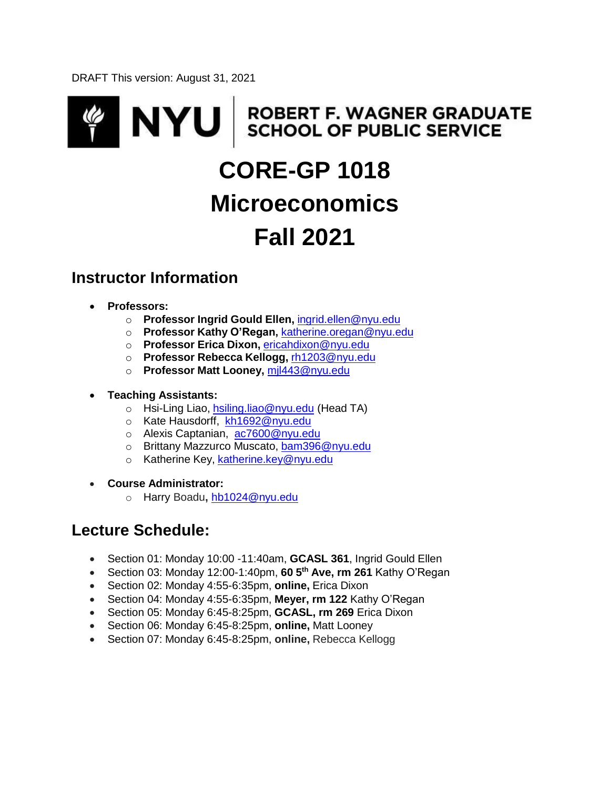DRAFT This version: August 31, 2021

# **ROBERT F. WAGNER GRADUATE<br>SCHOOL OF PUBLIC SERVICE ZI NYU CORE-GP 1018 Microeconomics Fall 2021**

# **Instructor Information**

- **Professors:**
	- o **Professor Ingrid Gould Ellen,** [ingrid.ellen@nyu.edu](mailto:ingrid.ellen@nyu.edu)
	- o **Professor Kathy O'Regan,** [katherine.oregan@nyu.edu](mailto:katherine.oregan@nyu.edu)
	- o **Professor Erica Dixon,** [ericahdixon@nyu.edu](mailto:ericahdixon@nyu.edu)
	- o **Professor Rebecca Kellogg,** [rh1203@nyu.edu](mailto:rh1203@nyu.edu)
	- o **Professor Matt Looney,** [mjl443@nyu.edu](mailto:mjl443@nyu.edu)
- **Teaching Assistants:**
	- o Hsi-Ling Liao, [hsiling.liao@nyu.edu](mailto:hsiling.liao@nyu.edu) (Head TA)
	- o Kate Hausdorff, [kh1692@nyu.edu](mailto:kh1692@nyu.edu)
	- o Alexis Captanian, [ac7600@nyu.edu](mailto:ac7600@nyu.edu)
	- o Brittany Mazzurco Muscato, [bam396@nyu.edu](mailto:bam396@nyu.edu)
	- o Katherine Key, [katherine.key@nyu.edu](mailto:katherine.key@nyu.edu)
- **Course Administrator:**
	- o Harry Boadu**,** [hb1024@nyu.edu](mailto:hb1024@nyu.edu)

# **Lecture Schedule:**

- Section 01: Monday 10:00 -11:40am, **GCASL 361**, Ingrid Gould Ellen
- Section 03: Monday 12:00-1:40pm, **60 5 th Ave, rm 261** Kathy O'Regan
- Section 02: Monday 4:55-6:35pm, **online,** Erica Dixon
- Section 04: Monday 4:55-6:35pm, **Meyer, rm 122** Kathy O'Regan
- Section 05: Monday 6:45-8:25pm, **GCASL, rm 269** Erica Dixon
- Section 06: Monday 6:45-8:25pm, **online,** Matt Looney
- Section 07: Monday 6:45-8:25pm, **online,** Rebecca Kellogg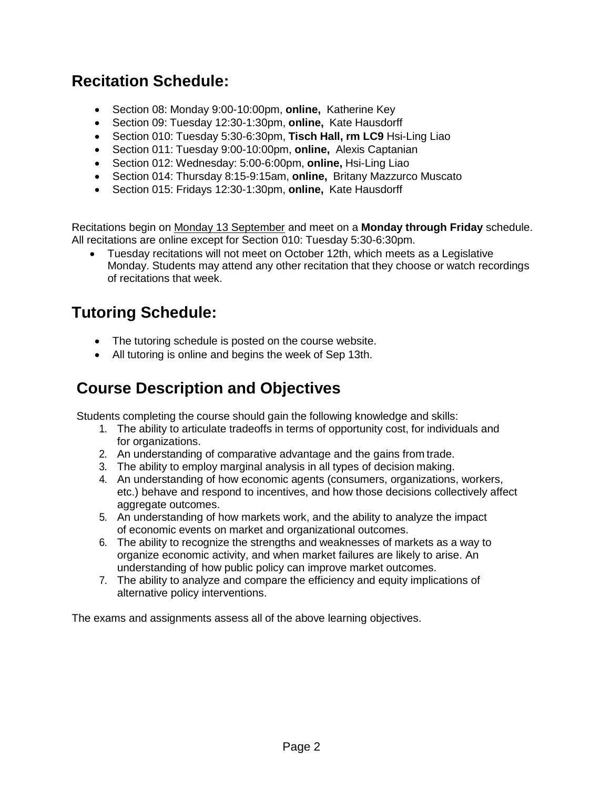# **Recitation Schedule:**

- Section 08: Monday 9:00-10:00pm, **online,** Katherine Key
- Section 09: Tuesday 12:30-1:30pm, **online,** Kate Hausdorff
- Section 010: Tuesday 5:30-6:30pm, **Tisch Hall, rm LC9** Hsi-Ling Liao
- Section 011: Tuesday 9:00-10:00pm, **online,** Alexis Captanian
- Section 012: Wednesday: 5:00-6:00pm, **online,** Hsi-Ling Liao
- Section 014: Thursday 8:15-9:15am, **online,** Britany Mazzurco Muscato
- Section 015: Fridays 12:30-1:30pm, **online,** Kate Hausdorff

Recitations begin on Monday 13 September and meet on a **Monday through Friday** schedule. All recitations are online except for Section 010: Tuesday 5:30-6:30pm.

 Tuesday recitations will not meet on October 12th, which meets as a Legislative Monday. Students may attend any other recitation that they choose or watch recordings of recitations that week.

# **Tutoring Schedule:**

- The tutoring schedule is posted on the course website.
- All tutoring is online and begins the week of Sep 13th.

# **Course Description and Objectives**

Students completing the course should gain the following knowledge and skills:

- 1. The ability to articulate tradeoffs in terms of opportunity cost, for individuals and for organizations.
- 2. An understanding of comparative advantage and the gains from trade.
- 3. The ability to employ marginal analysis in all types of decision making.
- 4. An understanding of how economic agents (consumers, organizations, workers, etc.) behave and respond to incentives, and how those decisions collectively affect aggregate outcomes.
- 5. An understanding of how markets work, and the ability to analyze the impact of economic events on market and organizational outcomes.
- 6. The ability to recognize the strengths and weaknesses of markets as a way to organize economic activity, and when market failures are likely to arise. An understanding of how public policy can improve market outcomes.
- 7. The ability to analyze and compare the efficiency and equity implications of alternative policy interventions.

The exams and assignments assess all of the above learning objectives.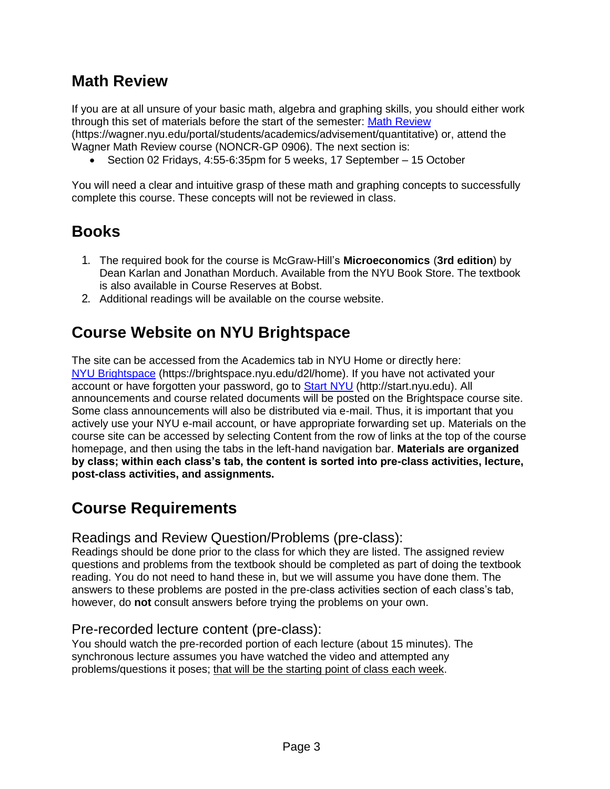# **Math Review**

If you are at all unsure of your basic math, algebra and graphing skills, you should either work through this set of materials before the start of the semester: [Math Review](https://wagner.nyu.edu/portal/students/academics/advisement/quantitative) (https://wagner.nyu.edu/portal/students/academics/advisement/quantitative) or, attend the Wagner Math Review course (NONCR-GP 0906). The next section is:

Section 02 Fridays, 4:55-6:35pm for 5 weeks, 17 September – 15 October

You will need a clear and intuitive grasp of these math and graphing concepts to successfully complete this course. These concepts will not be reviewed in class.

# **Books**

- 1. The required book for the course is McGraw-Hill's **Microeconomics** (**3rd edition**) by Dean Karlan and Jonathan Morduch. Available from the NYU Book Store. The textbook is also available in Course Reserves at Bobst.
- 2. Additional readings will be available on the course website.

# **Course Website on NYU Brightspace**

The site can be accessed from the Academics tab in NYU Home or directly here: [NYU Brightspace](https://brightspace.nyu.edu/d2l/home) (https://brightspace.nyu.edu/d2l/home). If you have not activated your account or have forgotten your password, go to [Start NYU](http://start.nyu.edu/) (http://start.nyu.edu). All announcements and course related documents will be posted on the Brightspace course site. Some class announcements will also be distributed via e-mail. Thus, it is important that you actively use your NYU e-mail account, or have appropriate forwarding set up. Materials on the course site can be accessed by selecting Content from the row of links at the top of the course homepage, and then using the tabs in the left-hand navigation bar. **Materials are organized by class; within each class's tab, the content is sorted into pre-class activities, lecture, post-class activities, and assignments.**

# **Course Requirements**

Readings and Review Question/Problems (pre-class):

Readings should be done prior to the class for which they are listed. The assigned review questions and problems from the textbook should be completed as part of doing the textbook reading. You do not need to hand these in, but we will assume you have done them. The answers to these problems are posted in the pre-class activities section of each class's tab, however, do **not** consult answers before trying the problems on your own.

### Pre-recorded lecture content (pre-class):

You should watch the pre-recorded portion of each lecture (about 15 minutes). The synchronous lecture assumes you have watched the video and attempted any problems/questions it poses; that will be the starting point of class each week.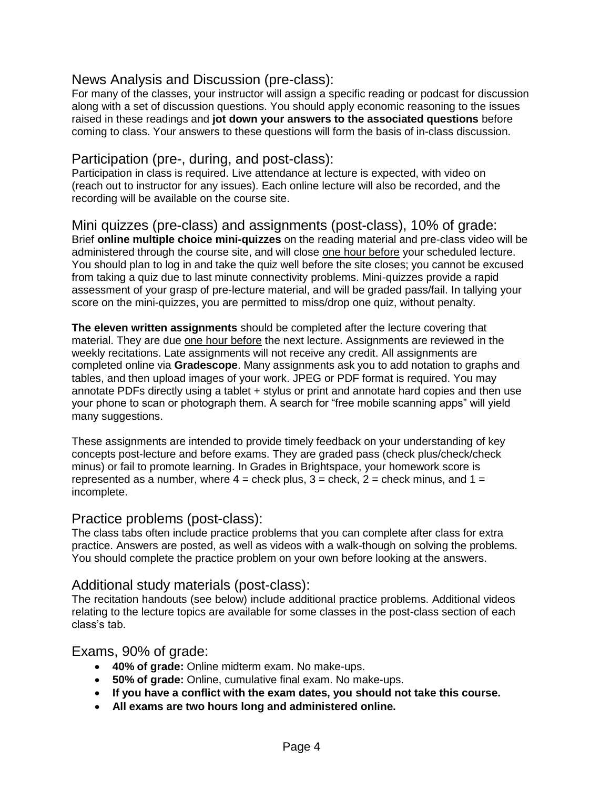### News Analysis and Discussion (pre-class):

For many of the classes, your instructor will assign a specific reading or podcast for discussion along with a set of discussion questions. You should apply economic reasoning to the issues raised in these readings and **jot down your answers to the associated questions** before coming to class. Your answers to these questions will form the basis of in-class discussion.

### Participation (pre-, during, and post-class):

Participation in class is required. Live attendance at lecture is expected, with video on (reach out to instructor for any issues). Each online lecture will also be recorded, and the recording will be available on the course site.

Mini quizzes (pre-class) and assignments (post-class), 10% of grade: Brief **online multiple choice mini-quizzes** on the reading material and pre-class video will be administered through the course site, and will close one hour before your scheduled lecture. You should plan to log in and take the quiz well before the site closes; you cannot be excused from taking a quiz due to last minute connectivity problems. Mini-quizzes provide a rapid assessment of your grasp of pre-lecture material, and will be graded pass/fail. In tallying your score on the mini-quizzes, you are permitted to miss/drop one quiz, without penalty.

**The eleven written assignments** should be completed after the lecture covering that material. They are due one hour before the next lecture. Assignments are reviewed in the weekly recitations. Late assignments will not receive any credit. All assignments are completed online via **Gradescope**. Many assignments ask you to add notation to graphs and tables, and then upload images of your work. JPEG or PDF format is required. You may annotate PDFs directly using a tablet + stylus or print and annotate hard copies and then use your phone to scan or photograph them. A search for "free mobile scanning apps" will yield many suggestions.

These assignments are intended to provide timely feedback on your understanding of key concepts post-lecture and before exams. They are graded pass (check plus/check/check minus) or fail to promote learning. In Grades in Brightspace, your homework score is represented as a number, where  $4 =$  check plus,  $3 =$  check,  $2 =$  check minus, and  $1 =$ incomplete.

### Practice problems (post-class):

The class tabs often include practice problems that you can complete after class for extra practice. Answers are posted, as well as videos with a walk-though on solving the problems. You should complete the practice problem on your own before looking at the answers.

### Additional study materials (post-class):

The recitation handouts (see below) include additional practice problems. Additional videos relating to the lecture topics are available for some classes in the post-class section of each class's tab.

### Exams, 90% of grade:

- **40% of grade:** Online midterm exam. No make-ups.
- **50% of grade:** Online, cumulative final exam. No make-ups.
- **If you have a conflict with the exam dates, you should not take this course.**
- **All exams are two hours long and administered online.**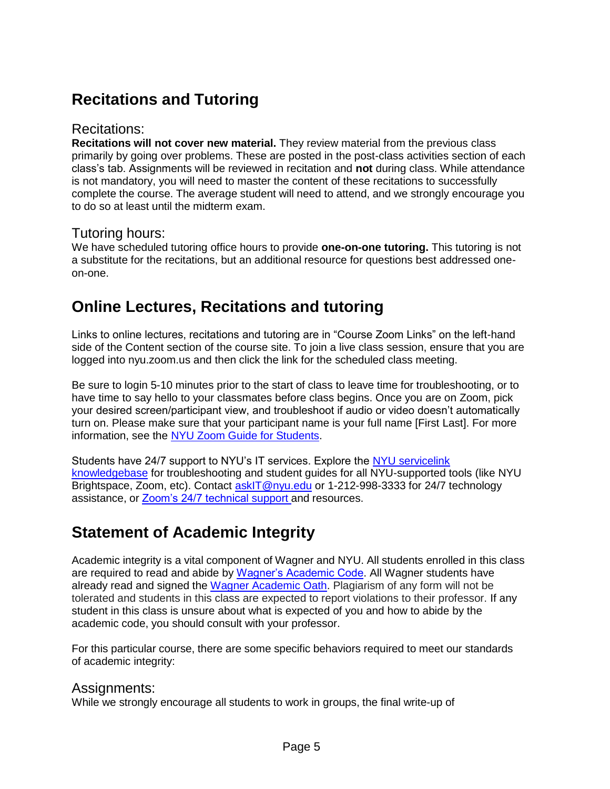# **Recitations and Tutoring**

### Recitations:

**Recitations will not cover new material.** They review material from the previous class primarily by going over problems. These are posted in the post-class activities section of each class's tab. Assignments will be reviewed in recitation and **not** during class. While attendance is not mandatory, you will need to master the content of these recitations to successfully complete the course. The average student will need to attend, and we strongly encourage you to do so at least until the midterm exam.

### Tutoring hours:

We have scheduled tutoring office hours to provide **one-on-one tutoring.** This tutoring is not a substitute for the recitations, but an additional resource for questions best addressed oneon-one.

# **Online Lectures, Recitations and tutoring**

Links to online lectures, recitations and tutoring are in "Course Zoom Links" on the left-hand side of the Content section of the course site. To join a live class session, ensure that you are logged into nyu.zoom.us and then click the link for the scheduled class meeting.

Be sure to login 5-10 minutes prior to the start of class to leave time for troubleshooting, or to have time to say hello to your classmates before class begins. Once you are on Zoom, pick your desired screen/participant view, and troubleshoot if audio or video doesn't automatically turn on. Please make sure that your participant name is your full name [First Last]. For more information, see the [NYU Z](https://nyu.service-now.com/servicelink/search_results.do?sysparm_document_key=kb_knowledge%2Cbd4d4732dbf34f008fd2a2364b961964&sysparm_search=guide%2Bfor%2Bstudents)oom Guide for [Students.](https://nyu.service-now.com/servicelink/search_results.do?sysparm_document_key=kb_knowledge%2Cbd4d4732dbf34f008fd2a2364b961964&sysparm_search=guide%2Bfor%2Bstudents)

Students have 24/7 support to NYU's IT services. Explore the [NYU servicelink](https://nyu.service-now.com/servicelink/search_results.do?sysparm_document_key=kb_knowledge%2Cbd4d4732dbf34f008fd2a2364b961964&sysparm_search=guide%2Bfor%2Bstudents) [knowledgebase](https://nyu.service-now.com/servicelink/search_results.do?sysparm_document_key=kb_knowledge%2Cbd4d4732dbf34f008fd2a2364b961964&sysparm_search=guide%2Bfor%2Bstudents) for troubleshooting and student guides for all NYU-supported tools (like NYU Brightspace, Zoom, etc). Contact [askIT@nyu.edu](mailto:askIT@nyu.edu) or 1-212-998-3333 for 24/7 technology assistance, or [Zoom's 24/7 technical](https://support.zoom.us/hc/en-us/articles/201362003) support and resources.

# **Statement of Academic Integrity**

Academic integrity is a vital component of Wagner and NYU. All students enrolled in this class are required to read and abide by [Wagner's Academic Code.](https://wagner.nyu.edu/portal/students/policies/code) All Wagner students have already read and signed the [Wagner Academic Oath.](https://wagner.nyu.edu/portal/students/policies/academic-oath) Plagiarism of any form will not be tolerated and students in this class are expected to report violations to their professor. If any student in this class is unsure about what is expected of you and how to abide by the academic code, you should consult with your professor.

For this particular course, there are some specific behaviors required to meet our standards of academic integrity:

### Assignments:

While we strongly encourage all students to work in groups, the final write-up of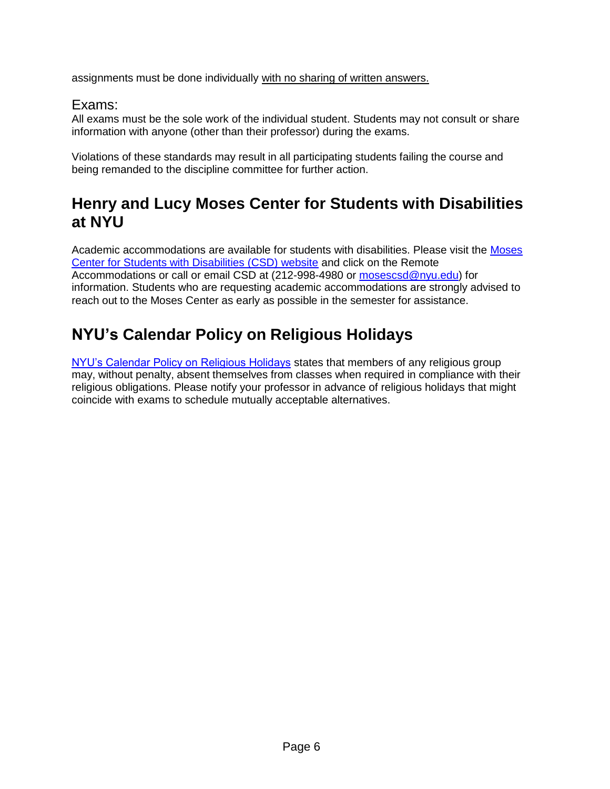assignments must be done individually with no sharing of written answers.

# Exams:

All exams must be the sole work of the individual student. Students may not consult or share information with anyone (other than their professor) during the exams.

Violations of these standards may result in all participating students failing the course and being remanded to the discipline committee for further action.

# **Henry and Lucy Moses Center for Students with Disabilities at NYU**

Academic accommodations are available for students with disabilities. Please visit the [Moses](https://www.nyu.edu/students/communities-and-groups/students-with-disabilities.html) [Center for Students with Disabilities \(CSD\) website](https://www.nyu.edu/students/communities-and-groups/students-with-disabilities.html) and click on the Remote Accommodations or call or email CSD at (212-998-4980 or [mosescsd@nyu.edu\)](mailto:mosescsd@nyu.edu) for information. Students who are requesting academic accommodations are strongly advised to reach out to the Moses Center as early as possible in the semester for assistance.

# **NYU's Calendar Policy on Religious Holidays**

[NYU's Calendar Policy on Religious Holidays](https://www.nyu.edu/about/policies-guidelines-compliance/policies-and-guidelines/university-calendar-policy-on-religious-holidays.html) states that members of any religious group may, without penalty, absent themselves from classes when required in compliance with their religious obligations. Please notify your professor in advance of religious holidays that might coincide with exams to schedule mutually acceptable alternatives.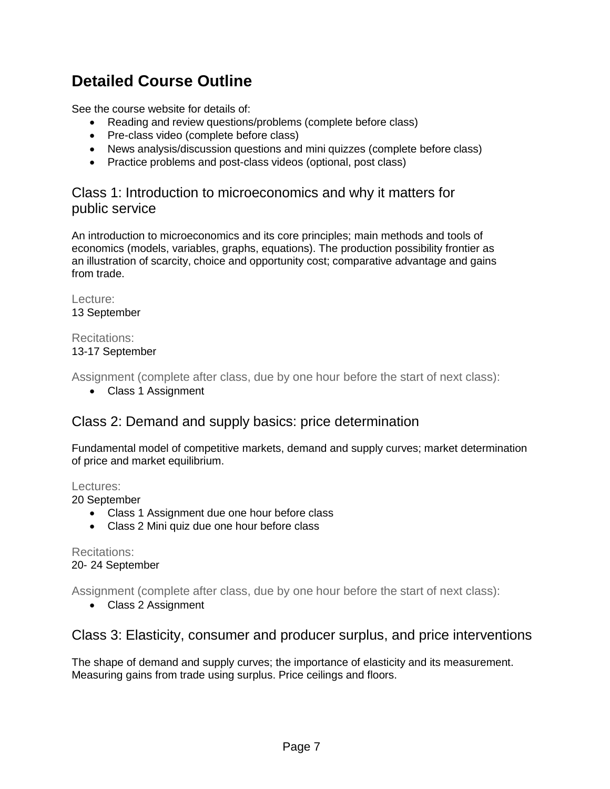# **Detailed Course Outline**

See the course website for details of:

- Reading and review questions/problems (complete before class)
- Pre-class video (complete before class)
- News analysis/discussion questions and mini quizzes (complete before class)
- Practice problems and post-class videos (optional, post class)

# Class 1: Introduction to microeconomics and why it matters for public service

An introduction to microeconomics and its core principles; main methods and tools of economics (models, variables, graphs, equations). The production possibility frontier as an illustration of scarcity, choice and opportunity cost; comparative advantage and gains from trade.

Lecture: 13 September

#### Recitations: 13-17 September

Assignment (complete after class, due by one hour before the start of next class):

Class 1 Assignment

# Class 2: Demand and supply basics: price determination

Fundamental model of competitive markets, demand and supply curves; market determination of price and market equilibrium.

#### Lectures:

20 September

- Class 1 Assignment due one hour before class
- Class 2 Mini quiz due one hour before class

Recitations: 20- 24 September

Assignment (complete after class, due by one hour before the start of next class):

• Class 2 Assignment

# Class 3: Elasticity, consumer and producer surplus, and price interventions

The shape of demand and supply curves; the importance of elasticity and its measurement. Measuring gains from trade using surplus. Price ceilings and floors.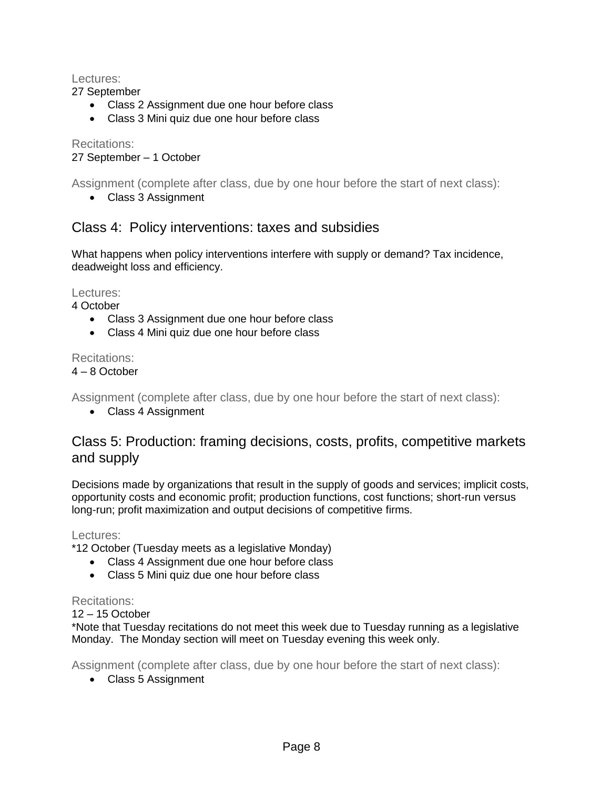#### Lectures:

27 September

- Class 2 Assignment due one hour before class
- Class 3 Mini quiz due one hour before class

Recitations: 27 September – 1 October

Assignment (complete after class, due by one hour before the start of next class):

• Class 3 Assignment

### Class 4: Policy interventions: taxes and subsidies

What happens when policy interventions interfere with supply or demand? Tax incidence, deadweight loss and efficiency.

Lectures:

4 October

- Class 3 Assignment due one hour before class
- Class 4 Mini quiz due one hour before class

#### Recitations:

#### 4 – 8 October

Assignment (complete after class, due by one hour before the start of next class):

• Class 4 Assignment

### Class 5: Production: framing decisions, costs, profits, competitive markets and supply

Decisions made by organizations that result in the supply of goods and services; implicit costs, opportunity costs and economic profit; production functions, cost functions; short-run versus long-run; profit maximization and output decisions of competitive firms.

Lectures:

\*12 October (Tuesday meets as a legislative Monday)

- Class 4 Assignment due one hour before class
- Class 5 Mini quiz due one hour before class

#### Recitations:

12 – 15 October

\*Note that Tuesday recitations do not meet this week due to Tuesday running as a legislative Monday. The Monday section will meet on Tuesday evening this week only.

Assignment (complete after class, due by one hour before the start of next class):

• Class 5 Assignment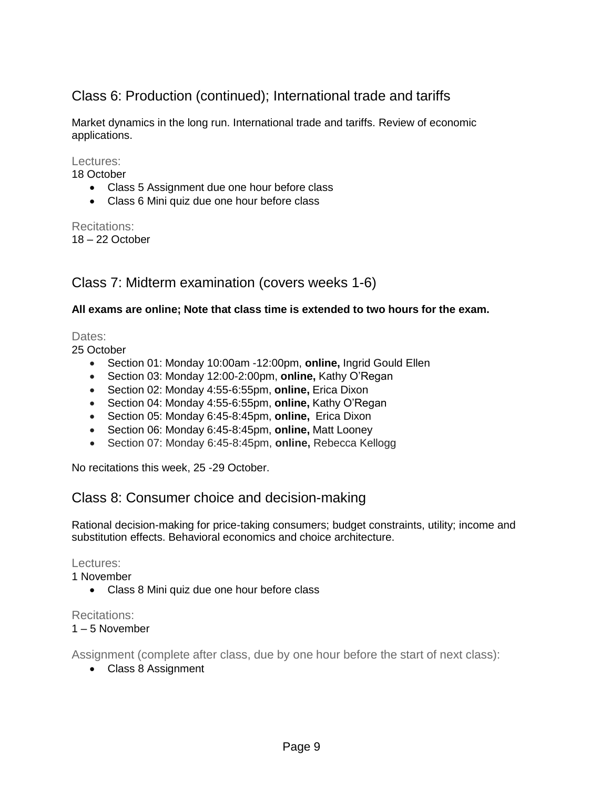# Class 6: Production (continued); International trade and tariffs

Market dynamics in the long run. International trade and tariffs. Review of economic applications.

Lectures:

18 October

- Class 5 Assignment due one hour before class
- Class 6 Mini quiz due one hour before class

Recitations: 18 – 22 October

### Class 7: Midterm examination (covers weeks 1-6)

#### **All exams are online; Note that class time is extended to two hours for the exam.**

Dates:

25 October

- Section 01: Monday 10:00am -12:00pm, **online,** Ingrid Gould Ellen
- Section 03: Monday 12:00-2:00pm, **online,** Kathy O'Regan
- Section 02: Monday 4:55-6:55pm, **online,** Erica Dixon
- Section 04: Monday 4:55-6:55pm, **online,** Kathy O'Regan
- Section 05: Monday 6:45-8:45pm, **online,** Erica Dixon
- Section 06: Monday 6:45-8:45pm, **online,** Matt Looney
- Section 07: Monday 6:45-8:45pm, **online,** Rebecca Kellogg

No recitations this week, 25 -29 October.

# Class 8: Consumer choice and decision-making

Rational decision-making for price-taking consumers; budget constraints, utility; income and substitution effects. Behavioral economics and choice architecture.

Lectures:

1 November

Class 8 Mini quiz due one hour before class

#### Recitations:

1 – 5 November

Assignment (complete after class, due by one hour before the start of next class):

• Class 8 Assignment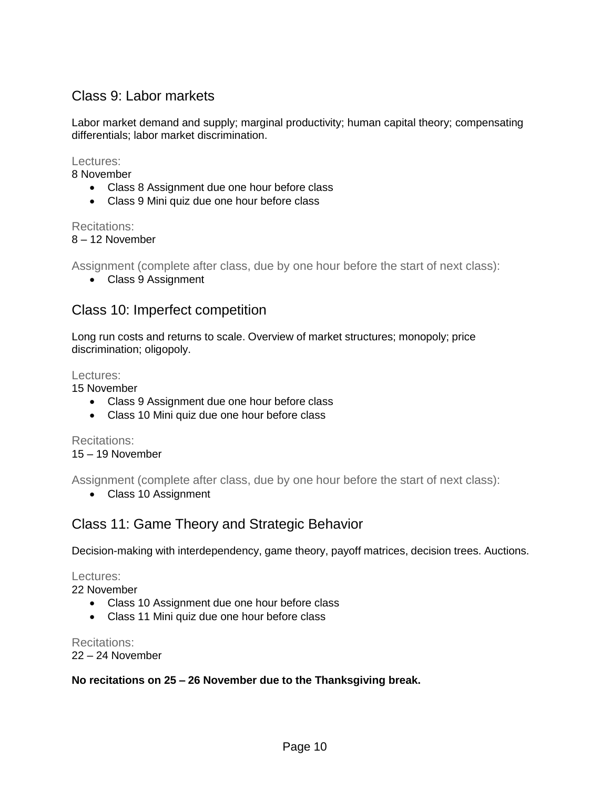# Class 9: Labor markets

Labor market demand and supply; marginal productivity; human capital theory; compensating differentials; labor market discrimination.

#### Lectures:

8 November

- Class 8 Assignment due one hour before class
- Class 9 Mini quiz due one hour before class

#### Recitations:

#### 8 – 12 November

Assignment (complete after class, due by one hour before the start of next class):

• Class 9 Assignment

# Class 10: Imperfect competition

Long run costs and returns to scale. Overview of market structures; monopoly; price discrimination; oligopoly.

#### Lectures:

15 November

- Class 9 Assignment due one hour before class
- Class 10 Mini quiz due one hour before class

Recitations: 15 – 19 November

Assignment (complete after class, due by one hour before the start of next class):

Class 10 Assignment

# Class 11: Game Theory and Strategic Behavior

Decision-making with interdependency, game theory, payoff matrices, decision trees. Auctions.

Lectures:

22 November

- Class 10 Assignment due one hour before class
- Class 11 Mini quiz due one hour before class

Recitations:

22 – 24 November

#### **No recitations on 25 – 26 November due to the Thanksgiving break.**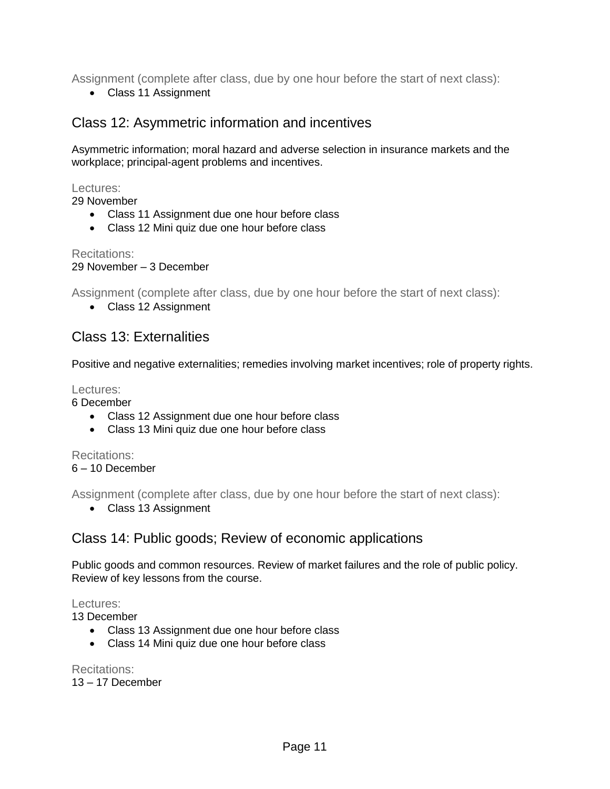Assignment (complete after class, due by one hour before the start of next class):

Class 11 Assignment

# Class 12: Asymmetric information and incentives

Asymmetric information; moral hazard and adverse selection in insurance markets and the workplace; principal-agent problems and incentives.

Lectures:

29 November

- Class 11 Assignment due one hour before class
- Class 12 Mini quiz due one hour before class

Recitations: 29 November – 3 December

Assignment (complete after class, due by one hour before the start of next class):

Class 12 Assignment

# Class 13: Externalities

Positive and negative externalities; remedies involving market incentives; role of property rights.

Lectures:

6 December

- Class 12 Assignment due one hour before class
- Class 13 Mini quiz due one hour before class

Recitations:

6 – 10 December

Assignment (complete after class, due by one hour before the start of next class):

Class 13 Assignment

# Class 14: Public goods; Review of economic applications

Public goods and common resources. Review of market failures and the role of public policy. Review of key lessons from the course.

#### Lectures:

13 December

- Class 13 Assignment due one hour before class
- Class 14 Mini quiz due one hour before class

Recitations: 13 – 17 December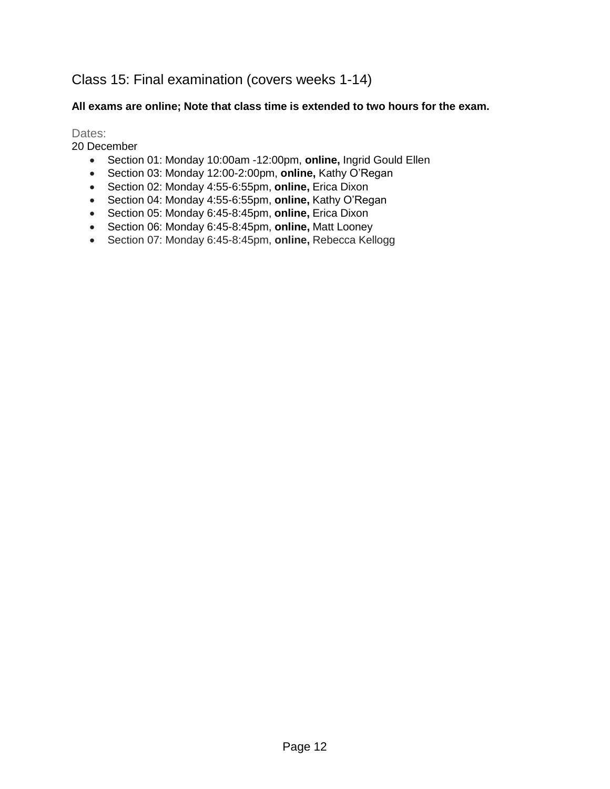# Class 15: Final examination (covers weeks 1-14)

#### **All exams are online; Note that class time is extended to two hours for the exam.**

Dates:

20 December

- Section 01: Monday 10:00am -12:00pm, **online,** Ingrid Gould Ellen
- Section 03: Monday 12:00-2:00pm, **online,** Kathy O'Regan
- Section 02: Monday 4:55-6:55pm, **online,** Erica Dixon
- Section 04: Monday 4:55-6:55pm, **online,** Kathy O'Regan
- Section 05: Monday 6:45-8:45pm, **online,** Erica Dixon
- Section 06: Monday 6:45-8:45pm, **online,** Matt Looney
- Section 07: Monday 6:45-8:45pm, **online,** Rebecca Kellogg